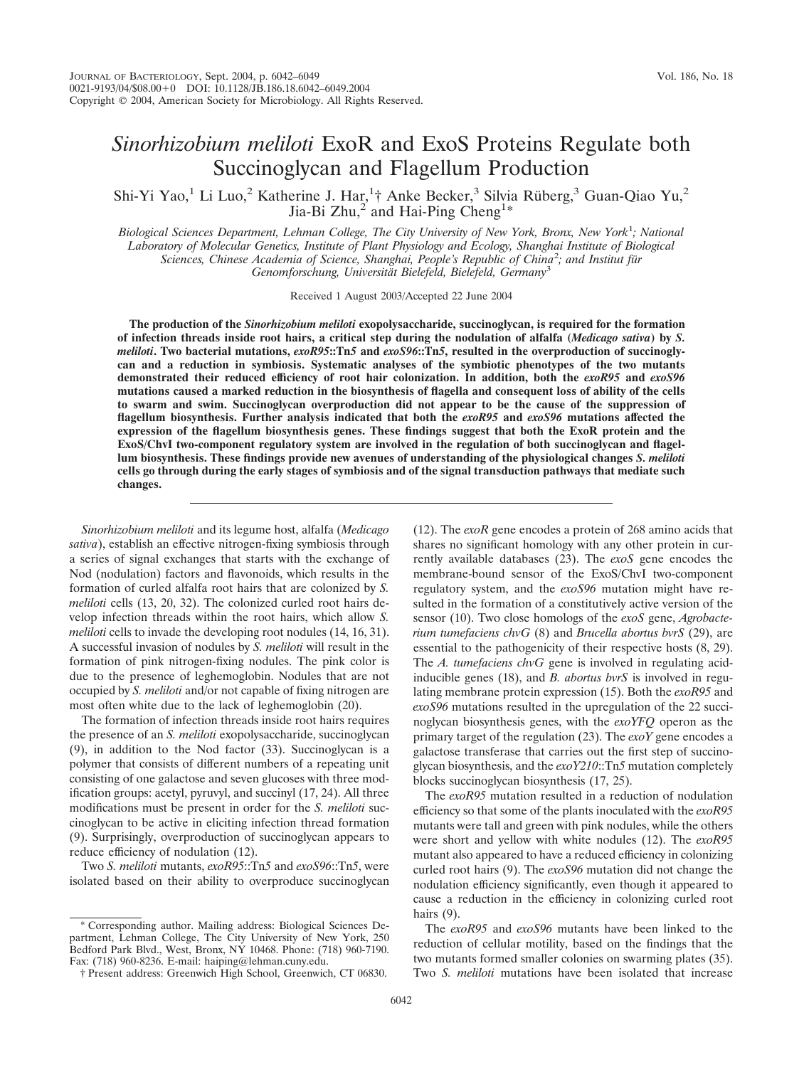# *Sinorhizobium meliloti* ExoR and ExoS Proteins Regulate both Succinoglycan and Flagellum Production

Shi-Yi Yao,<sup>1</sup> Li Luo,<sup>2</sup> Katherine J. Har,<sup>1</sup>† Anke Becker,<sup>3</sup> Silvia Rüberg,<sup>3</sup> Guan-Qiao Yu,<sup>2</sup> Jia-Bi Zhu,<sup>2</sup> and Hai-Ping Cheng<sup>1\*</sup>

*Biological Sciences Department, Lehman College, The City University of New York, Bronx, New York*<sup>1</sup> *; National Laboratory of Molecular Genetics, Institute of Plant Physiology and Ecology, Shanghai Institute of Biological Sciences, Chinese Academia of Science, Shanghai, People's Republic of China*<sup>2</sup> *; and Institut fu¨r* Genomforschung, Universität Bielefeld, Bielefeld, Germany<sup>3</sup>

Received 1 August 2003/Accepted 22 June 2004

**The production of the** *Sinorhizobium meliloti* **exopolysaccharide, succinoglycan, is required for the formation of infection threads inside root hairs, a critical step during the nodulation of alfalfa (***Medicago sativa***) by** *S. meliloti***. Two bacterial mutations,** *exoR95***::Tn***5* **and** *exoS96***::Tn***5***, resulted in the overproduction of succinoglycan and a reduction in symbiosis. Systematic analyses of the symbiotic phenotypes of the two mutants demonstrated their reduced efficiency of root hair colonization. In addition, both the** *exoR95* **and** *exoS96* **mutations caused a marked reduction in the biosynthesis of flagella and consequent loss of ability of the cells to swarm and swim. Succinoglycan overproduction did not appear to be the cause of the suppression of flagellum biosynthesis. Further analysis indicated that both the** *exoR95* **and** *exoS96* **mutations affected the expression of the flagellum biosynthesis genes. These findings suggest that both the ExoR protein and the ExoS/ChvI two-component regulatory system are involved in the regulation of both succinoglycan and flagellum biosynthesis. These findings provide new avenues of understanding of the physiological changes** *S. meliloti* **cells go through during the early stages of symbiosis and of the signal transduction pathways that mediate such changes.**

*Sinorhizobium meliloti* and its legume host, alfalfa (*Medicago sativa*), establish an effective nitrogen-fixing symbiosis through a series of signal exchanges that starts with the exchange of Nod (nodulation) factors and flavonoids, which results in the formation of curled alfalfa root hairs that are colonized by *S. meliloti* cells (13, 20, 32). The colonized curled root hairs develop infection threads within the root hairs, which allow *S. meliloti* cells to invade the developing root nodules (14, 16, 31). A successful invasion of nodules by *S. meliloti* will result in the formation of pink nitrogen-fixing nodules. The pink color is due to the presence of leghemoglobin. Nodules that are not occupied by *S. meliloti* and/or not capable of fixing nitrogen are most often white due to the lack of leghemoglobin (20).

The formation of infection threads inside root hairs requires the presence of an *S. meliloti* exopolysaccharide, succinoglycan (9), in addition to the Nod factor (33). Succinoglycan is a polymer that consists of different numbers of a repeating unit consisting of one galactose and seven glucoses with three modification groups: acetyl, pyruvyl, and succinyl (17, 24). All three modifications must be present in order for the *S. meliloti* succinoglycan to be active in eliciting infection thread formation (9). Surprisingly, overproduction of succinoglycan appears to reduce efficiency of nodulation (12).

Two *S. meliloti* mutants, *exoR95*::Tn*5* and *exoS96*::Tn*5*, were isolated based on their ability to overproduce succinoglycan

\* Corresponding author. Mailing address: Biological Sciences Department, Lehman College, The City University of New York, 250 Bedford Park Blvd., West, Bronx, NY 10468. Phone: (718) 960-7190. Fax: (718) 960-8236. E-mail: haiping@lehman.cuny.edu.

(12). The *exoR* gene encodes a protein of 268 amino acids that shares no significant homology with any other protein in currently available databases (23). The *exoS* gene encodes the membrane-bound sensor of the ExoS/ChvI two-component regulatory system, and the *exoS96* mutation might have resulted in the formation of a constitutively active version of the sensor (10). Two close homologs of the *exoS* gene, *Agrobacterium tumefaciens chvG* (8) and *Brucella abortus bvrS* (29), are essential to the pathogenicity of their respective hosts (8, 29). The *A. tumefaciens chvG* gene is involved in regulating acidinducible genes (18), and *B. abortus bvrS* is involved in regulating membrane protein expression (15). Both the *exoR95* and *exoS96* mutations resulted in the upregulation of the 22 succinoglycan biosynthesis genes, with the *exoYFQ* operon as the primary target of the regulation (23). The *exoY* gene encodes a galactose transferase that carries out the first step of succinoglycan biosynthesis, and the *exoY210*::Tn*5* mutation completely blocks succinoglycan biosynthesis (17, 25).

The *exoR95* mutation resulted in a reduction of nodulation efficiency so that some of the plants inoculated with the *exoR95* mutants were tall and green with pink nodules, while the others were short and yellow with white nodules (12). The *exoR95* mutant also appeared to have a reduced efficiency in colonizing curled root hairs (9). The *exoS96* mutation did not change the nodulation efficiency significantly, even though it appeared to cause a reduction in the efficiency in colonizing curled root hairs (9).

The *exoR95* and *exoS96* mutants have been linked to the reduction of cellular motility, based on the findings that the two mutants formed smaller colonies on swarming plates (35). Two *S. meliloti* mutations have been isolated that increase

<sup>†</sup> Present address: Greenwich High School, Greenwich, CT 06830.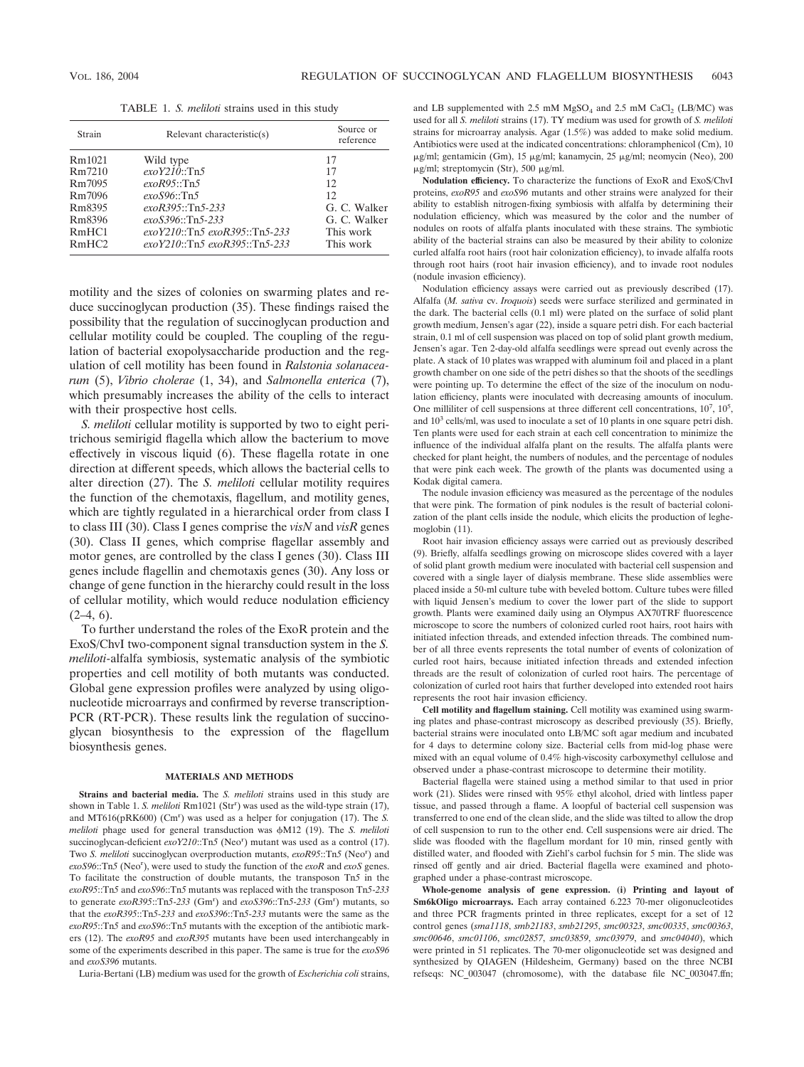TABLE 1. *S. meliloti* strains used in this study

| Strain<br>Relevant characteristic(s) |                               | Source or<br>reference |  |
|--------------------------------------|-------------------------------|------------------------|--|
| Rm1021                               | Wild type                     | 17                     |  |
| Rm7210                               | exoY210::Tn5                  | 17                     |  |
| Rm7095                               | exoR95::Tn5                   | 12                     |  |
| Rm7096                               | exoS96::Tn5                   | 12                     |  |
| Rm8395                               | exoR395::Tn5-233              | G. C. Walker           |  |
| Rm8396                               | $exoS396::Tn5-233$            | G. C. Walker           |  |
| RmHCl                                | exoY210::Tn5 exoR395::Tn5-233 | This work              |  |
| RmHCl                                | exoY210::Tn5 exoR395::Tn5-233 | This work              |  |

motility and the sizes of colonies on swarming plates and reduce succinoglycan production (35). These findings raised the possibility that the regulation of succinoglycan production and cellular motility could be coupled. The coupling of the regulation of bacterial exopolysaccharide production and the regulation of cell motility has been found in *Ralstonia solanacearum* (5), *Vibrio cholerae* (1, 34), and *Salmonella enterica* (7), which presumably increases the ability of the cells to interact with their prospective host cells.

*S. meliloti* cellular motility is supported by two to eight peritrichous semirigid flagella which allow the bacterium to move effectively in viscous liquid (6). These flagella rotate in one direction at different speeds, which allows the bacterial cells to alter direction (27). The *S. meliloti* cellular motility requires the function of the chemotaxis, flagellum, and motility genes, which are tightly regulated in a hierarchical order from class I to class III (30). Class I genes comprise the *visN* and *visR* genes (30). Class II genes, which comprise flagellar assembly and motor genes, are controlled by the class I genes (30). Class III genes include flagellin and chemotaxis genes (30). Any loss or change of gene function in the hierarchy could result in the loss of cellular motility, which would reduce nodulation efficiency  $(2-4, 6)$ .

To further understand the roles of the ExoR protein and the ExoS/ChvI two-component signal transduction system in the *S. meliloti*-alfalfa symbiosis, systematic analysis of the symbiotic properties and cell motility of both mutants was conducted. Global gene expression profiles were analyzed by using oligonucleotide microarrays and confirmed by reverse transcription-PCR (RT-PCR). These results link the regulation of succinoglycan biosynthesis to the expression of the flagellum biosynthesis genes.

### **MATERIALS AND METHODS**

**Strains and bacterial media.** The *S. meliloti* strains used in this study are shown in Table 1. S. *meliloti* Rm1021 (Str<sup>r</sup>) was used as the wild-type strain (17), and MT616(pRK600) (Cm<sup>r</sup> ) was used as a helper for conjugation (17). The *S. meliloti* phage used for general transduction was  $\phi$ M12 (19). The *S. meliloti* succinoglycan-deficient *exoY210*::Tn5 (Neo<sup>r</sup>) mutant was used as a control (17). Two *S. meliloti* succinoglycan overproduction mutants, *exoR95*::Tn*5* (Neor ) and *exoS96*::Tn*5* (Neor ), were used to study the function of the *exoR* and *exoS* genes. To facilitate the construction of double mutants, the transposon Tn*5* in the *exoR95*::Tn*5* and *exoS96*::Tn*5* mutants was replaced with the transposon Tn*5*-*233* to generate *exoR395*::Tn*5*-*233* (Gm<sup>r</sup> ) and *exoS396*::Tn*5*-*233* (Gm<sup>r</sup> ) mutants, so that the *exoR395*::Tn*5*-*233* and *exoS396*::Tn*5*-*233* mutants were the same as the *exoR95*::Tn*5* and *exoS96*::Tn*5* mutants with the exception of the antibiotic markers (12). The *exoR95* and *exoR395* mutants have been used interchangeably in some of the experiments described in this paper. The same is true for the *exoS96* and *exoS396* mutants.

Luria-Bertani (LB) medium was used for the growth of *Escherichia coli* strains,

and LB supplemented with  $2.5 \text{ mM } M$ gSO<sub>4</sub> and  $2.5 \text{ mM } C$ aCl<sub>2</sub> (LB/MC) was used for all *S. meliloti* strains (17). TY medium was used for growth of *S. meliloti* strains for microarray analysis. Agar (1.5%) was added to make solid medium. Antibiotics were used at the indicated concentrations: chloramphenicol (Cm), 10 μg/ml; gentamicin (Gm), 15 μg/ml; kanamycin, 25 μg/ml; neomycin (Neo), 200  $\mu$ g/ml; streptomycin (Str), 500  $\mu$ g/ml.

**Nodulation efficiency.** To characterize the functions of ExoR and ExoS/ChvI proteins, *exoR95* and *exoS96* mutants and other strains were analyzed for their ability to establish nitrogen-fixing symbiosis with alfalfa by determining their nodulation efficiency, which was measured by the color and the number of nodules on roots of alfalfa plants inoculated with these strains. The symbiotic ability of the bacterial strains can also be measured by their ability to colonize curled alfalfa root hairs (root hair colonization efficiency), to invade alfalfa roots through root hairs (root hair invasion efficiency), and to invade root nodules (nodule invasion efficiency).

Nodulation efficiency assays were carried out as previously described (17). Alfalfa (*M. sativa* cv. *Iroquois*) seeds were surface sterilized and germinated in the dark. The bacterial cells (0.1 ml) were plated on the surface of solid plant growth medium, Jensen's agar (22), inside a square petri dish. For each bacterial strain, 0.1 ml of cell suspension was placed on top of solid plant growth medium, Jensen's agar. Ten 2-day-old alfalfa seedlings were spread out evenly across the plate. A stack of 10 plates was wrapped with aluminum foil and placed in a plant growth chamber on one side of the petri dishes so that the shoots of the seedlings were pointing up. To determine the effect of the size of the inoculum on nodulation efficiency, plants were inoculated with decreasing amounts of inoculum. One milliliter of cell suspensions at three different cell concentrations,  $10^7$ ,  $10^5$ , and  $10<sup>3</sup>$  cells/ml, was used to inoculate a set of 10 plants in one square petri dish. Ten plants were used for each strain at each cell concentration to minimize the influence of the individual alfalfa plant on the results. The alfalfa plants were checked for plant height, the numbers of nodules, and the percentage of nodules that were pink each week. The growth of the plants was documented using a Kodak digital camera.

The nodule invasion efficiency was measured as the percentage of the nodules that were pink. The formation of pink nodules is the result of bacterial colonization of the plant cells inside the nodule, which elicits the production of leghemoglobin (11).

Root hair invasion efficiency assays were carried out as previously described (9). Briefly, alfalfa seedlings growing on microscope slides covered with a layer of solid plant growth medium were inoculated with bacterial cell suspension and covered with a single layer of dialysis membrane. These slide assemblies were placed inside a 50-ml culture tube with beveled bottom. Culture tubes were filled with liquid Jensen's medium to cover the lower part of the slide to support growth. Plants were examined daily using an Olympus AX70TRF fluorescence microscope to score the numbers of colonized curled root hairs, root hairs with initiated infection threads, and extended infection threads. The combined number of all three events represents the total number of events of colonization of curled root hairs, because initiated infection threads and extended infection threads are the result of colonization of curled root hairs. The percentage of colonization of curled root hairs that further developed into extended root hairs represents the root hair invasion efficiency.

**Cell motility and flagellum staining.** Cell motility was examined using swarming plates and phase-contrast microscopy as described previously (35). Briefly, bacterial strains were inoculated onto LB/MC soft agar medium and incubated for 4 days to determine colony size. Bacterial cells from mid-log phase were mixed with an equal volume of 0.4% high-viscosity carboxymethyl cellulose and observed under a phase-contrast microscope to determine their motility.

Bacterial flagella were stained using a method similar to that used in prior work (21). Slides were rinsed with 95% ethyl alcohol, dried with lintless paper tissue, and passed through a flame. A loopful of bacterial cell suspension was transferred to one end of the clean slide, and the slide was tilted to allow the drop of cell suspension to run to the other end. Cell suspensions were air dried. The slide was flooded with the flagellum mordant for 10 min, rinsed gently with distilled water, and flooded with Ziehl's carbol fuchsin for 5 min. The slide was rinsed off gently and air dried. Bacterial flagella were examined and photographed under a phase-contrast microscope.

**Whole-genome analysis of gene expression. (i) Printing and layout of Sm6kOligo microarrays.** Each array contained 6.223 70-mer oligonucleotides and three PCR fragments printed in three replicates, except for a set of 12 control genes (*sma1118*, *smb21183*, *smb21295*, *smc00323*, *smc00335*, *smc00363*, *smc00646*, *smc01106*, *smc02857*, *smc03859*, *smc03979*, and *smc04040*), which were printed in 51 replicates. The 70-mer oligonucleotide set was designed and synthesized by QIAGEN (Hildesheim, Germany) based on the three NCBI refseqs: NC\_003047 (chromosome), with the database file NC\_003047.ffn;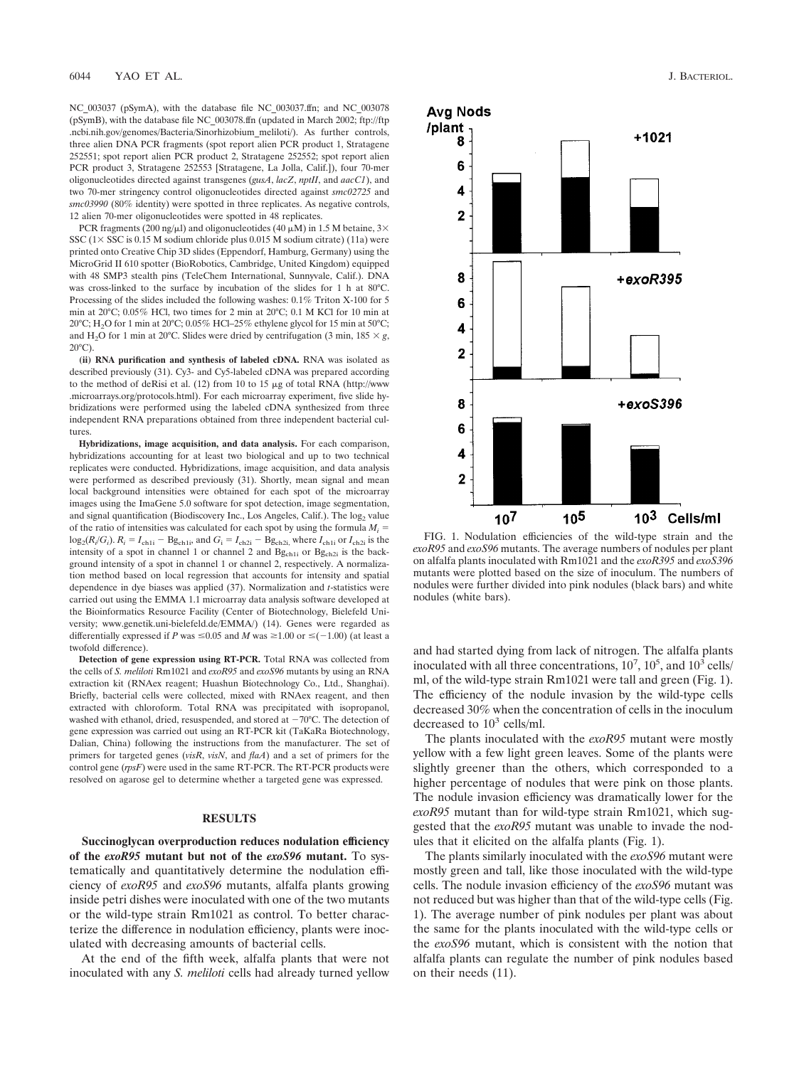NC\_003037 (pSymA), with the database file NC\_003037.ffn; and NC\_003078 (pSymB), with the database file NC\_003078.ffn (updated in March 2002; ftp://ftp .ncbi.nih.gov/genomes/Bacteria/Sinorhizobium\_meliloti/). As further controls, three alien DNA PCR fragments (spot report alien PCR product 1, Stratagene 252551; spot report alien PCR product 2, Stratagene 252552; spot report alien PCR product 3, Stratagene 252553 [Stratagene, La Jolla, Calif.]), four 70-mer oligonucleotides directed against transgenes (*gusA*, *lacZ*, *nptII*, and *aacC1*), and two 70-mer stringency control oligonucleotides directed against *smc02725* and *smc03990* (80% identity) were spotted in three replicates. As negative controls, 12 alien 70-mer oligonucleotides were spotted in 48 replicates.

PCR fragments (200 ng/ $\mu$ I) and oligonucleotides (40  $\mu$ M) in 1.5 M betaine, 3× SSC ( $1 \times$  SSC is 0.15 M sodium chloride plus 0.015 M sodium citrate) (11a) were printed onto Creative Chip 3D slides (Eppendorf, Hamburg, Germany) using the MicroGrid II 610 spotter (BioRobotics, Cambridge, United Kingdom) equipped with 48 SMP3 stealth pins (TeleChem International, Sunnyvale, Calif.). DNA was cross-linked to the surface by incubation of the slides for 1 h at 80°C. Processing of the slides included the following washes: 0.1% Triton X-100 for 5 min at 20°C; 0.05% HCl, two times for 2 min at 20°C; 0.1 M KCl for 10 min at 20°C; H<sub>2</sub>O for 1 min at 20°C; 0.05% HCl–25% ethylene glycol for 15 min at 50°C; and H<sub>2</sub>O for 1 min at 20°C. Slides were dried by centrifugation (3 min,  $185 \times g$ ,  $20^{\circ}$ C).

**(ii) RNA purification and synthesis of labeled cDNA.** RNA was isolated as described previously (31). Cy3- and Cy5-labeled cDNA was prepared according to the method of deRisi et al.  $(12)$  from 10 to 15  $\mu$ g of total RNA (http://www .microarrays.org/protocols.html). For each microarray experiment, five slide hybridizations were performed using the labeled cDNA synthesized from three independent RNA preparations obtained from three independent bacterial cultures.

**Hybridizations, image acquisition, and data analysis.** For each comparison, hybridizations accounting for at least two biological and up to two technical replicates were conducted. Hybridizations, image acquisition, and data analysis were performed as described previously (31). Shortly, mean signal and mean local background intensities were obtained for each spot of the microarray images using the ImaGene 5.0 software for spot detection, image segmentation, and signal quantification (Biodiscovery Inc., Los Angeles, Calif.). The  $log<sub>2</sub>$  value of the ratio of intensities was calculated for each spot by using the formula  $M_i =$  $log_2(R_i/G_i)$ .  $R_i = I_{\text{ch1i}} - Bg_{\text{ch1i}}$ , and  $G_i = I_{\text{ch2i}} - Bg_{\text{ch2i}}$ , where  $I_{\text{ch1i}}$  or  $I_{\text{ch2i}}$  is the intensity of a spot in channel 1 or channel 2 and  $\text{B}_{\text{Sch1i}}$  or  $\text{B}_{\text{Sch2i}}$  is the background intensity of a spot in channel 1 or channel 2, respectively. A normalization method based on local regression that accounts for intensity and spatial dependence in dye biases was applied (37). Normalization and *t*-statistics were carried out using the EMMA 1.1 microarray data analysis software developed at the Bioinformatics Resource Facility (Center of Biotechnology, Bielefeld University; www.genetik.uni-bielefeld.de/EMMA/) (14). Genes were regarded as differentially expressed if *P* was  $\leq 0.05$  and *M* was  $\geq 1.00$  or  $\leq (-1.00)$  (at least a twofold difference).

**Detection of gene expression using RT-PCR.** Total RNA was collected from the cells of *S. meliloti* Rm1021 and *exoR95* and *exoS96* mutants by using an RNA extraction kit (RNAex reagent; Huashun Biotechnology Co., Ltd., Shanghai). Briefly, bacterial cells were collected, mixed with RNAex reagent, and then extracted with chloroform. Total RNA was precipitated with isopropanol, washed with ethanol, dried, resuspended, and stored at  $-70^{\circ}$ C. The detection of gene expression was carried out using an RT-PCR kit (TaKaRa Biotechnology, Dalian, China) following the instructions from the manufacturer. The set of primers for targeted genes (*visR*, *visN*, and *flaA*) and a set of primers for the control gene (*rpsF*) were used in the same RT-PCR. The RT-PCR products were resolved on agarose gel to determine whether a targeted gene was expressed.

## **RESULTS**

**Succinoglycan overproduction reduces nodulation efficiency of the** *exoR95* **mutant but not of the** *exoS96* **mutant.** To systematically and quantitatively determine the nodulation efficiency of *exoR95* and *exoS96* mutants, alfalfa plants growing inside petri dishes were inoculated with one of the two mutants or the wild-type strain Rm1021 as control. To better characterize the difference in nodulation efficiency, plants were inoculated with decreasing amounts of bacterial cells.

At the end of the fifth week, alfalfa plants that were not inoculated with any *S. meliloti* cells had already turned yellow



FIG. 1. Nodulation efficiencies of the wild-type strain and the *exoR95* and *exoS96* mutants. The average numbers of nodules per plant on alfalfa plants inoculated with Rm1021 and the *exoR395* and *exoS396* mutants were plotted based on the size of inoculum. The numbers of nodules were further divided into pink nodules (black bars) and white nodules (white bars).

and had started dying from lack of nitrogen. The alfalfa plants inoculated with all three concentrations,  $10^7$ ,  $10^5$ , and  $10^3$  cells/ ml, of the wild-type strain Rm1021 were tall and green (Fig. 1). The efficiency of the nodule invasion by the wild-type cells decreased 30% when the concentration of cells in the inoculum decreased to  $10<sup>3</sup>$  cells/ml.

The plants inoculated with the *exoR95* mutant were mostly yellow with a few light green leaves. Some of the plants were slightly greener than the others, which corresponded to a higher percentage of nodules that were pink on those plants. The nodule invasion efficiency was dramatically lower for the *exoR95* mutant than for wild-type strain Rm1021, which suggested that the *exoR95* mutant was unable to invade the nodules that it elicited on the alfalfa plants (Fig. 1).

The plants similarly inoculated with the *exoS96* mutant were mostly green and tall, like those inoculated with the wild-type cells. The nodule invasion efficiency of the *exoS96* mutant was not reduced but was higher than that of the wild-type cells (Fig. 1). The average number of pink nodules per plant was about the same for the plants inoculated with the wild-type cells or the *exoS96* mutant, which is consistent with the notion that alfalfa plants can regulate the number of pink nodules based on their needs (11).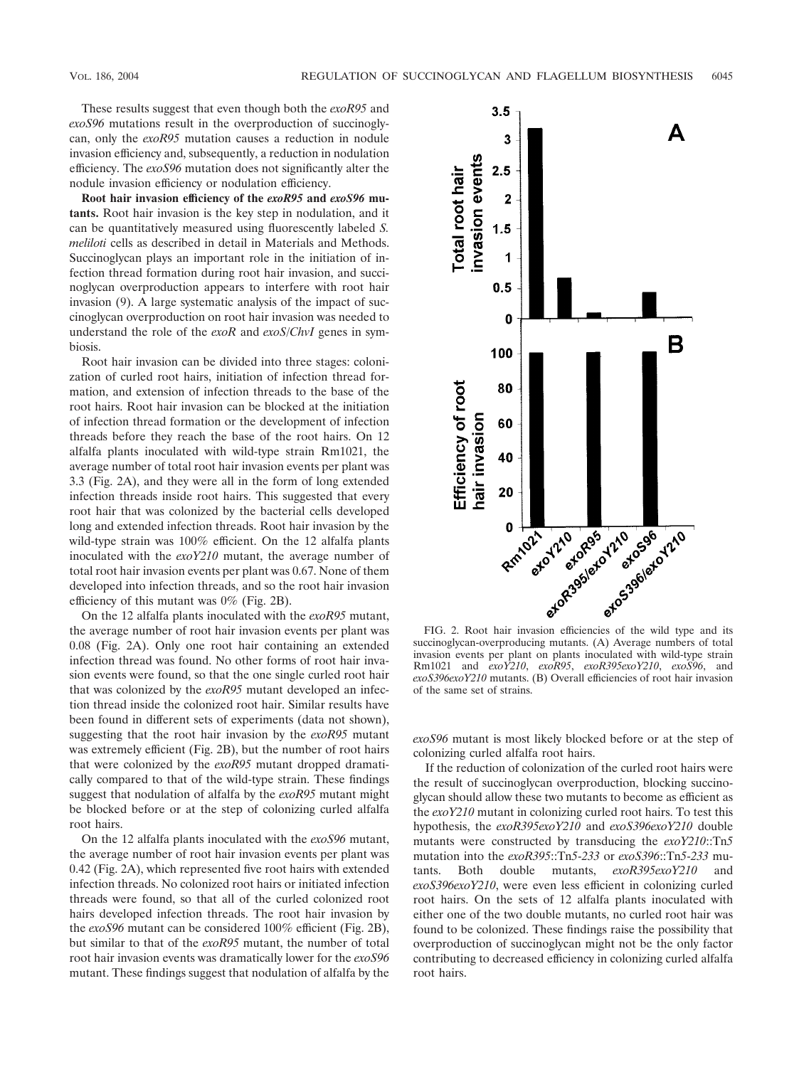These results suggest that even though both the *exoR95* and *exoS96* mutations result in the overproduction of succinoglycan, only the *exoR95* mutation causes a reduction in nodule invasion efficiency and, subsequently, a reduction in nodulation efficiency. The *exoS96* mutation does not significantly alter the nodule invasion efficiency or nodulation efficiency.

**Root hair invasion efficiency of the** *exoR95* **and** *exoS96* **mutants.** Root hair invasion is the key step in nodulation, and it can be quantitatively measured using fluorescently labeled *S. meliloti* cells as described in detail in Materials and Methods. Succinoglycan plays an important role in the initiation of infection thread formation during root hair invasion, and succinoglycan overproduction appears to interfere with root hair invasion (9). A large systematic analysis of the impact of succinoglycan overproduction on root hair invasion was needed to understand the role of the *exoR* and *exoS/ChvI* genes in symbiosis.

Root hair invasion can be divided into three stages: colonization of curled root hairs, initiation of infection thread formation, and extension of infection threads to the base of the root hairs. Root hair invasion can be blocked at the initiation of infection thread formation or the development of infection threads before they reach the base of the root hairs. On 12 alfalfa plants inoculated with wild-type strain Rm1021, the average number of total root hair invasion events per plant was 3.3 (Fig. 2A), and they were all in the form of long extended infection threads inside root hairs. This suggested that every root hair that was colonized by the bacterial cells developed long and extended infection threads. Root hair invasion by the wild-type strain was 100% efficient. On the 12 alfalfa plants inoculated with the *exoY210* mutant, the average number of total root hair invasion events per plant was 0.67. None of them developed into infection threads, and so the root hair invasion efficiency of this mutant was 0% (Fig. 2B).

On the 12 alfalfa plants inoculated with the *exoR95* mutant, the average number of root hair invasion events per plant was 0.08 (Fig. 2A). Only one root hair containing an extended infection thread was found. No other forms of root hair invasion events were found, so that the one single curled root hair that was colonized by the *exoR95* mutant developed an infection thread inside the colonized root hair. Similar results have been found in different sets of experiments (data not shown), suggesting that the root hair invasion by the *exoR95* mutant was extremely efficient (Fig. 2B), but the number of root hairs that were colonized by the *exoR95* mutant dropped dramatically compared to that of the wild-type strain. These findings suggest that nodulation of alfalfa by the *exoR95* mutant might be blocked before or at the step of colonizing curled alfalfa root hairs.

On the 12 alfalfa plants inoculated with the *exoS96* mutant, the average number of root hair invasion events per plant was 0.42 (Fig. 2A), which represented five root hairs with extended infection threads. No colonized root hairs or initiated infection threads were found, so that all of the curled colonized root hairs developed infection threads. The root hair invasion by the *exoS96* mutant can be considered 100% efficient (Fig. 2B), but similar to that of the *exoR95* mutant, the number of total root hair invasion events was dramatically lower for the *exoS96* mutant. These findings suggest that nodulation of alfalfa by the



FIG. 2. Root hair invasion efficiencies of the wild type and its succinoglycan-overproducing mutants. (A) Average numbers of total invasion events per plant on plants inoculated with wild-type strain Rm1021 and *exoY210*, *exoR95*, *exoR395exoY210*, *exoS96*, and *exoS396exoY210* mutants. (B) Overall efficiencies of root hair invasion of the same set of strains.

*exoS96* mutant is most likely blocked before or at the step of colonizing curled alfalfa root hairs.

If the reduction of colonization of the curled root hairs were the result of succinoglycan overproduction, blocking succinoglycan should allow these two mutants to become as efficient as the *exoY210* mutant in colonizing curled root hairs. To test this hypothesis, the *exoR395exoY210* and *exoS396exoY210* double mutants were constructed by transducing the *exoY210*::Tn*5* mutation into the *exoR395*::Tn*5*-*233* or *exoS396*::Tn*5*-*233* mutants. Both double mutants, *exoR395exoY210* and *exoS396exoY210*, were even less efficient in colonizing curled root hairs. On the sets of 12 alfalfa plants inoculated with either one of the two double mutants, no curled root hair was found to be colonized. These findings raise the possibility that overproduction of succinoglycan might not be the only factor contributing to decreased efficiency in colonizing curled alfalfa root hairs.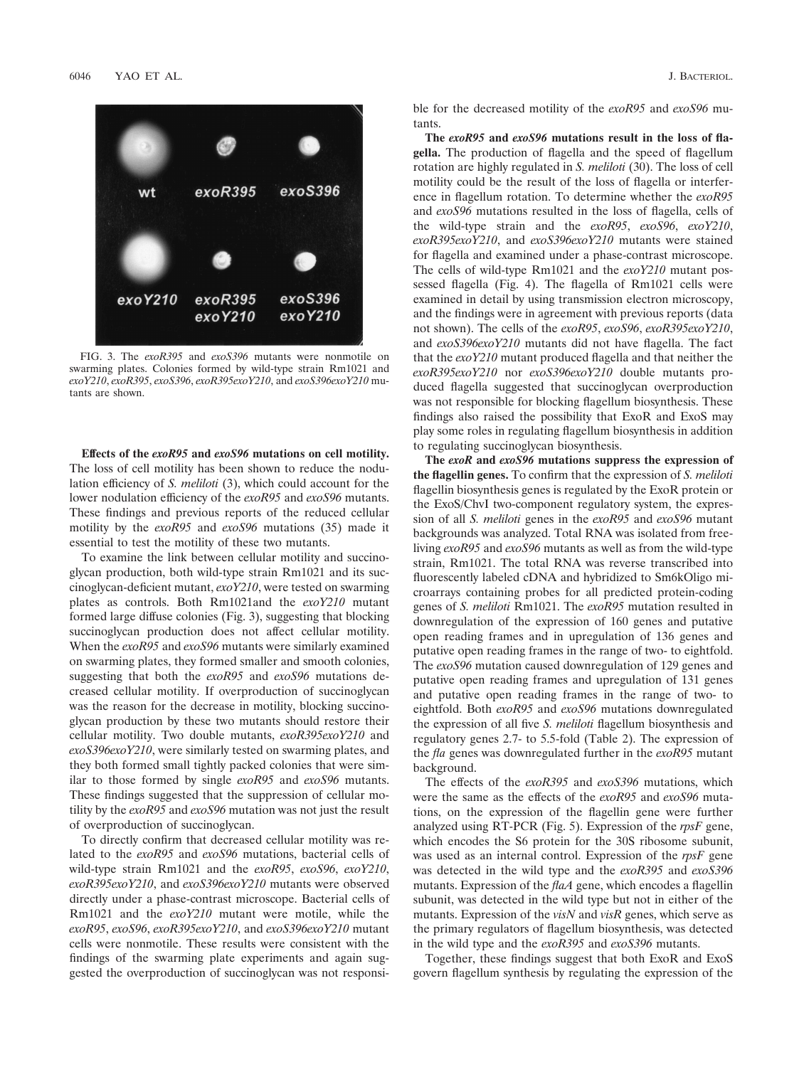

FIG. 3. The *exoR395* and *exoS396* mutants were nonmotile on swarming plates. Colonies formed by wild-type strain Rm1021 and *exoY210*, *exoR395*, *exoS396*, *exoR395exoY210*, and *exoS396exoY210* mutants are shown.

**Effects of the** *exoR95* **and** *exoS96* **mutations on cell motility.** The loss of cell motility has been shown to reduce the nodulation efficiency of *S. meliloti* (3), which could account for the lower nodulation efficiency of the *exoR95* and *exoS96* mutants. These findings and previous reports of the reduced cellular motility by the *exoR95* and *exoS96* mutations (35) made it essential to test the motility of these two mutants.

To examine the link between cellular motility and succinoglycan production, both wild-type strain Rm1021 and its succinoglycan-deficient mutant, *exoY210*, were tested on swarming plates as controls. Both Rm1021and the *exoY210* mutant formed large diffuse colonies (Fig. 3), suggesting that blocking succinoglycan production does not affect cellular motility. When the *exoR95* and *exoS96* mutants were similarly examined on swarming plates, they formed smaller and smooth colonies, suggesting that both the *exoR95* and *exoS96* mutations decreased cellular motility. If overproduction of succinoglycan was the reason for the decrease in motility, blocking succinoglycan production by these two mutants should restore their cellular motility. Two double mutants, *exoR395exoY210* and *exoS396exoY210*, were similarly tested on swarming plates, and they both formed small tightly packed colonies that were similar to those formed by single *exoR95* and *exoS96* mutants. These findings suggested that the suppression of cellular motility by the *exoR95* and *exoS96* mutation was not just the result of overproduction of succinoglycan.

To directly confirm that decreased cellular motility was related to the *exoR95* and *exoS96* mutations, bacterial cells of wild-type strain Rm1021 and the *exoR95*, *exoS96*, *exoY210*, *exoR395exoY210*, and *exoS396exoY210* mutants were observed directly under a phase-contrast microscope. Bacterial cells of Rm1021 and the *exoY210* mutant were motile, while the *exoR95*, *exoS96*, *exoR395exoY210*, and *exoS396exoY210* mutant cells were nonmotile. These results were consistent with the findings of the swarming plate experiments and again suggested the overproduction of succinoglycan was not responsible for the decreased motility of the *exoR95* and *exoS96* mutants.

**The** *exoR95* **and** *exoS96* **mutations result in the loss of flagella.** The production of flagella and the speed of flagellum rotation are highly regulated in *S. meliloti* (30). The loss of cell motility could be the result of the loss of flagella or interference in flagellum rotation. To determine whether the *exoR95* and *exoS96* mutations resulted in the loss of flagella, cells of the wild-type strain and the *exoR95*, *exoS96*, *exoY210*, *exoR395exoY210*, and *exoS396exoY210* mutants were stained for flagella and examined under a phase-contrast microscope. The cells of wild-type Rm1021 and the *exoY210* mutant possessed flagella (Fig. 4). The flagella of Rm1021 cells were examined in detail by using transmission electron microscopy, and the findings were in agreement with previous reports (data not shown). The cells of the *exoR95*, *exoS96*, *exoR395exoY210*, and *exoS396exoY210* mutants did not have flagella. The fact that the *exoY210* mutant produced flagella and that neither the *exoR395exoY210* nor *exoS396exoY210* double mutants produced flagella suggested that succinoglycan overproduction was not responsible for blocking flagellum biosynthesis. These findings also raised the possibility that ExoR and ExoS may play some roles in regulating flagellum biosynthesis in addition to regulating succinoglycan biosynthesis.

**The** *exoR* **and** *exoS96* **mutations suppress the expression of the flagellin genes.** To confirm that the expression of *S. meliloti* flagellin biosynthesis genes is regulated by the ExoR protein or the ExoS/ChvI two-component regulatory system, the expression of all *S. meliloti* genes in the *exoR95* and *exoS96* mutant backgrounds was analyzed. Total RNA was isolated from freeliving *exoR95* and *exoS96* mutants as well as from the wild-type strain, Rm1021. The total RNA was reverse transcribed into fluorescently labeled cDNA and hybridized to Sm6kOligo microarrays containing probes for all predicted protein-coding genes of *S. meliloti* Rm1021. The *exoR95* mutation resulted in downregulation of the expression of 160 genes and putative open reading frames and in upregulation of 136 genes and putative open reading frames in the range of two- to eightfold. The *exoS96* mutation caused downregulation of 129 genes and putative open reading frames and upregulation of 131 genes and putative open reading frames in the range of two- to eightfold. Both *exoR95* and *exoS96* mutations downregulated the expression of all five *S. meliloti* flagellum biosynthesis and regulatory genes 2.7- to 5.5-fold (Table 2). The expression of the *fla* genes was downregulated further in the *exoR95* mutant background.

The effects of the *exoR395* and *exoS396* mutations, which were the same as the effects of the *exoR95* and *exoS96* mutations, on the expression of the flagellin gene were further analyzed using RT-PCR (Fig. 5). Expression of the *rpsF* gene, which encodes the S6 protein for the 30S ribosome subunit, was used as an internal control. Expression of the *rpsF* gene was detected in the wild type and the *exoR395* and *exoS396* mutants. Expression of the *flaA* gene, which encodes a flagellin subunit, was detected in the wild type but not in either of the mutants. Expression of the *visN* and *visR* genes, which serve as the primary regulators of flagellum biosynthesis, was detected in the wild type and the *exoR395* and *exoS396* mutants.

Together, these findings suggest that both ExoR and ExoS govern flagellum synthesis by regulating the expression of the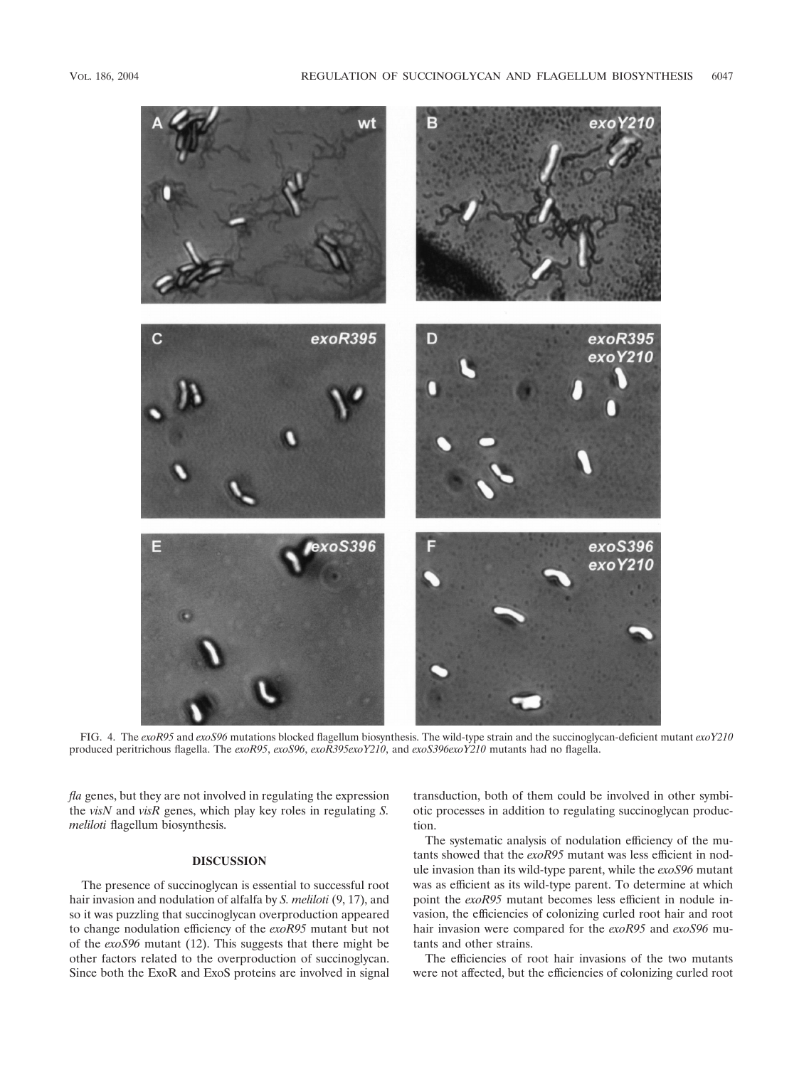

FIG. 4. The *exoR95* and *exoS96* mutations blocked flagellum biosynthesis. The wild-type strain and the succinoglycan-deficient mutant *exoY210* produced peritrichous flagella. The *exoR95*, *exoS96*, *exoR395exoY210*, and *exoS396exoY210* mutants had no flagella.

*fla* genes, but they are not involved in regulating the expression the *visN* and *visR* genes, which play key roles in regulating *S. meliloti* flagellum biosynthesis.

# **DISCUSSION**

The presence of succinoglycan is essential to successful root hair invasion and nodulation of alfalfa by *S. meliloti* (9, 17), and so it was puzzling that succinoglycan overproduction appeared to change nodulation efficiency of the *exoR95* mutant but not of the *exoS96* mutant (12). This suggests that there might be other factors related to the overproduction of succinoglycan. Since both the ExoR and ExoS proteins are involved in signal

transduction, both of them could be involved in other symbiotic processes in addition to regulating succinoglycan production.

The systematic analysis of nodulation efficiency of the mutants showed that the *exoR95* mutant was less efficient in nodule invasion than its wild-type parent, while the *exoS96* mutant was as efficient as its wild-type parent. To determine at which point the *exoR95* mutant becomes less efficient in nodule invasion, the efficiencies of colonizing curled root hair and root hair invasion were compared for the *exoR95* and *exoS96* mutants and other strains.

The efficiencies of root hair invasions of the two mutants were not affected, but the efficiencies of colonizing curled root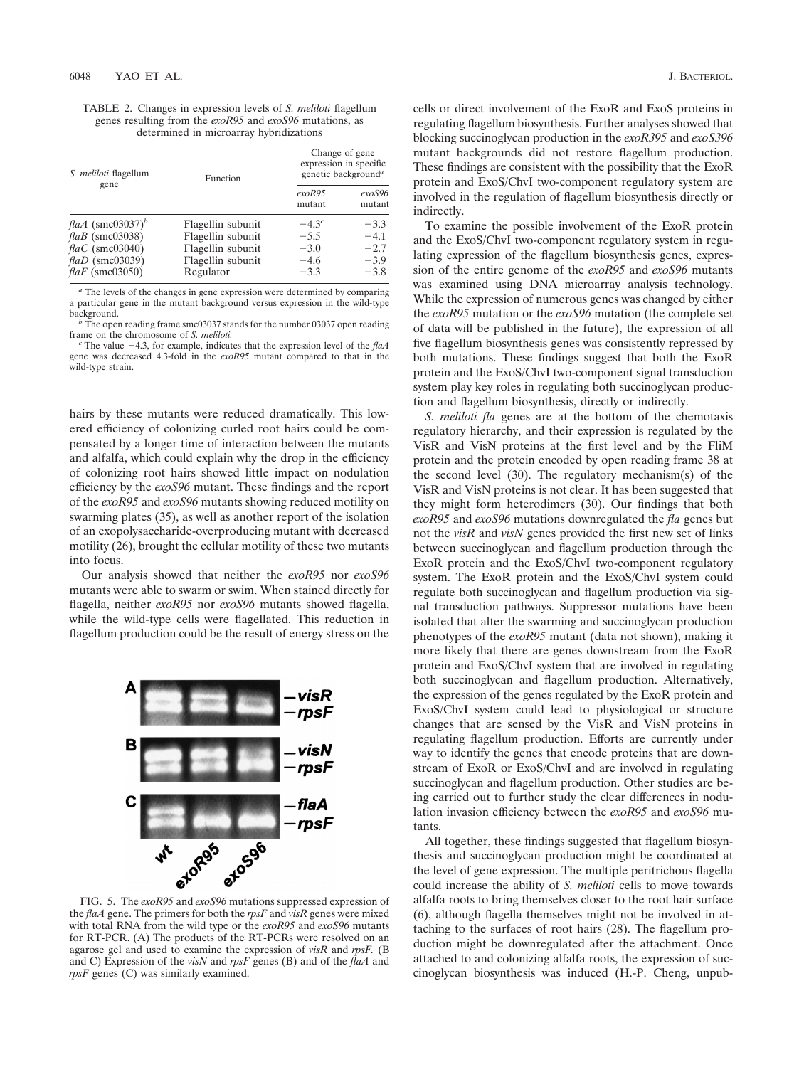| TABLE 2. Changes in expression levels of S. <i>meliloti</i> flagellum |
|-----------------------------------------------------------------------|
| genes resulting from the $exoR95$ and $exoS96$ mutations, as          |
| determined in microarray hybridizations                               |

| S. <i>meliloti</i> flagellum                                                                            | Function                                                                                      |                                                    | Change of gene<br>expression in specific<br>genetic background <sup>a</sup> |  |
|---------------------------------------------------------------------------------------------------------|-----------------------------------------------------------------------------------------------|----------------------------------------------------|-----------------------------------------------------------------------------|--|
| gene                                                                                                    |                                                                                               | exoR95<br>mutant                                   | exoS96<br>mutant                                                            |  |
| flaA $(smc03037)^b$<br>$flaB$ (smc03038)<br>$flaC$ (smc03040)<br>$flaD$ (smc03039)<br>$flaF$ (smc03050) | Flagellin subunit<br>Flagellin subunit<br>Flagellin subunit<br>Flagellin subunit<br>Regulator | $-4.3^{c}$<br>$-5.5$<br>$-3.0$<br>$-4.6$<br>$-3.3$ | $-3.3$<br>$-4.1$<br>$-2.7$<br>$-3.9$<br>$-3.8$                              |  |

*<sup>a</sup>* The levels of the changes in gene expression were determined by comparing a particular gene in the mutant background versus expression in the wild-type

 $b$  The open reading frame smc03037 stands for the number 03037 open reading frame on the chromosome of *S. meliloti*.

 $\epsilon$ <sup>c</sup> The value  $-4.3$ , for example, indicates that the expression level of the *flaA* gene was decreased 4.3-fold in the *exoR95* mutant compared to that in the wild-type strain.

hairs by these mutants were reduced dramatically. This lowered efficiency of colonizing curled root hairs could be compensated by a longer time of interaction between the mutants and alfalfa, which could explain why the drop in the efficiency of colonizing root hairs showed little impact on nodulation efficiency by the *exoS96* mutant. These findings and the report of the *exoR95* and *exoS96* mutants showing reduced motility on swarming plates (35), as well as another report of the isolation of an exopolysaccharide-overproducing mutant with decreased motility (26), brought the cellular motility of these two mutants into focus.

Our analysis showed that neither the *exoR95* nor *exoS96* mutants were able to swarm or swim. When stained directly for flagella, neither *exoR95* nor *exoS96* mutants showed flagella, while the wild-type cells were flagellated. This reduction in flagellum production could be the result of energy stress on the



FIG. 5. The *exoR95* and *exoS96* mutations suppressed expression of the *flaA* gene. The primers for both the *rpsF* and *visR* genes were mixed with total RNA from the wild type or the *exoR95* and *exoS96* mutants for RT-PCR. (A) The products of the RT-PCRs were resolved on an agarose gel and used to examine the expression of *visR* and *rpsF.* (B and C) Expression of the *visN* and *rpsF* genes (B) and of the *flaA* and *rpsF* genes (C) was similarly examined.

cells or direct involvement of the ExoR and ExoS proteins in regulating flagellum biosynthesis. Further analyses showed that blocking succinoglycan production in the *exoR395* and *exoS396* mutant backgrounds did not restore flagellum production. These findings are consistent with the possibility that the ExoR protein and ExoS/ChvI two-component regulatory system are involved in the regulation of flagellum biosynthesis directly or indirectly.

To examine the possible involvement of the ExoR protein and the ExoS/ChvI two-component regulatory system in regulating expression of the flagellum biosynthesis genes, expression of the entire genome of the *exoR95* and *exoS96* mutants was examined using DNA microarray analysis technology. While the expression of numerous genes was changed by either the *exoR95* mutation or the *exoS96* mutation (the complete set of data will be published in the future), the expression of all five flagellum biosynthesis genes was consistently repressed by both mutations. These findings suggest that both the ExoR protein and the ExoS/ChvI two-component signal transduction system play key roles in regulating both succinoglycan production and flagellum biosynthesis, directly or indirectly.

*S. meliloti fla* genes are at the bottom of the chemotaxis regulatory hierarchy, and their expression is regulated by the VisR and VisN proteins at the first level and by the FliM protein and the protein encoded by open reading frame 38 at the second level (30). The regulatory mechanism(s) of the VisR and VisN proteins is not clear. It has been suggested that they might form heterodimers (30). Our findings that both *exoR95* and *exoS96* mutations downregulated the *fla* genes but not the *visR* and *visN* genes provided the first new set of links between succinoglycan and flagellum production through the ExoR protein and the ExoS/ChvI two-component regulatory system. The ExoR protein and the ExoS/ChvI system could regulate both succinoglycan and flagellum production via signal transduction pathways. Suppressor mutations have been isolated that alter the swarming and succinoglycan production phenotypes of the *exoR95* mutant (data not shown), making it more likely that there are genes downstream from the ExoR protein and ExoS/ChvI system that are involved in regulating both succinoglycan and flagellum production. Alternatively, the expression of the genes regulated by the ExoR protein and ExoS/ChvI system could lead to physiological or structure changes that are sensed by the VisR and VisN proteins in regulating flagellum production. Efforts are currently under way to identify the genes that encode proteins that are downstream of ExoR or ExoS/ChvI and are involved in regulating succinoglycan and flagellum production. Other studies are being carried out to further study the clear differences in nodulation invasion efficiency between the *exoR95* and *exoS96* mutants.

All together, these findings suggested that flagellum biosynthesis and succinoglycan production might be coordinated at the level of gene expression. The multiple peritrichous flagella could increase the ability of *S. meliloti* cells to move towards alfalfa roots to bring themselves closer to the root hair surface (6), although flagella themselves might not be involved in attaching to the surfaces of root hairs (28). The flagellum production might be downregulated after the attachment. Once attached to and colonizing alfalfa roots, the expression of succinoglycan biosynthesis was induced (H.-P. Cheng, unpub-